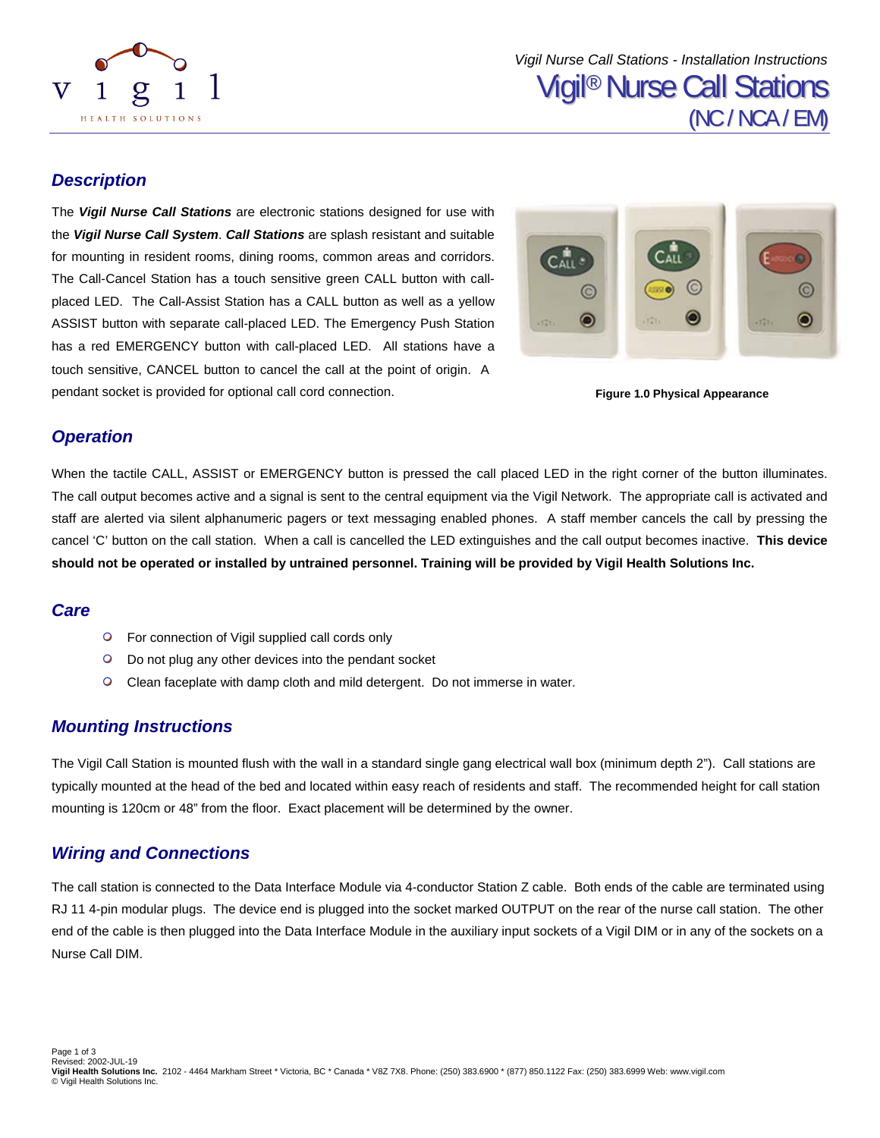

## *Description*

The *Vigil Nurse Call Stations* are electronic stations designed for use with the *Vigil Nurse Call System*. *Call Stations* are splash resistant and suitable for mounting in resident rooms, dining rooms, common areas and corridors. The Call-Cancel Station has a touch sensitive green CALL button with callplaced LED. The Call-Assist Station has a CALL button as well as a yellow ASSIST button with separate call-placed LED. The Emergency Push Station has a red EMERGENCY button with call-placed LED. All stations have a touch sensitive, CANCEL button to cancel the call at the point of origin. A pendant socket is provided for optional call cord connection.



**Figure 1.0 Physical Appearance** 

### *Operation*

When the tactile CALL, ASSIST or EMERGENCY button is pressed the call placed LED in the right corner of the button illuminates. The call output becomes active and a signal is sent to the central equipment via the Vigil Network. The appropriate call is activated and staff are alerted via silent alphanumeric pagers or text messaging enabled phones. A staff member cancels the call by pressing the cancel 'C' button on the call station. When a call is cancelled the LED extinguishes and the call output becomes inactive. **This device should not be operated or installed by untrained personnel. Training will be provided by Vigil Health Solutions Inc.** 

### *Care*

- **•** For connection of Vigil supplied call cords only
- **•** Do not plug any other devices into the pendant socket
- $\circ$ Clean faceplate with damp cloth and mild detergent. Do not immerse in water.

### *Mounting Instructions*

The Vigil Call Station is mounted flush with the wall in a standard single gang electrical wall box (minimum depth 2"). Call stations are typically mounted at the head of the bed and located within easy reach of residents and staff. The recommended height for call station mounting is 120cm or 48" from the floor. Exact placement will be determined by the owner.

## *Wiring and Connections*

The call station is connected to the Data Interface Module via 4-conductor Station Z cable. Both ends of the cable are terminated using RJ 11 4-pin modular plugs. The device end is plugged into the socket marked OUTPUT on the rear of the nurse call station. The other end of the cable is then plugged into the Data Interface Module in the auxiliary input sockets of a Vigil DIM or in any of the sockets on a Nurse Call DIM.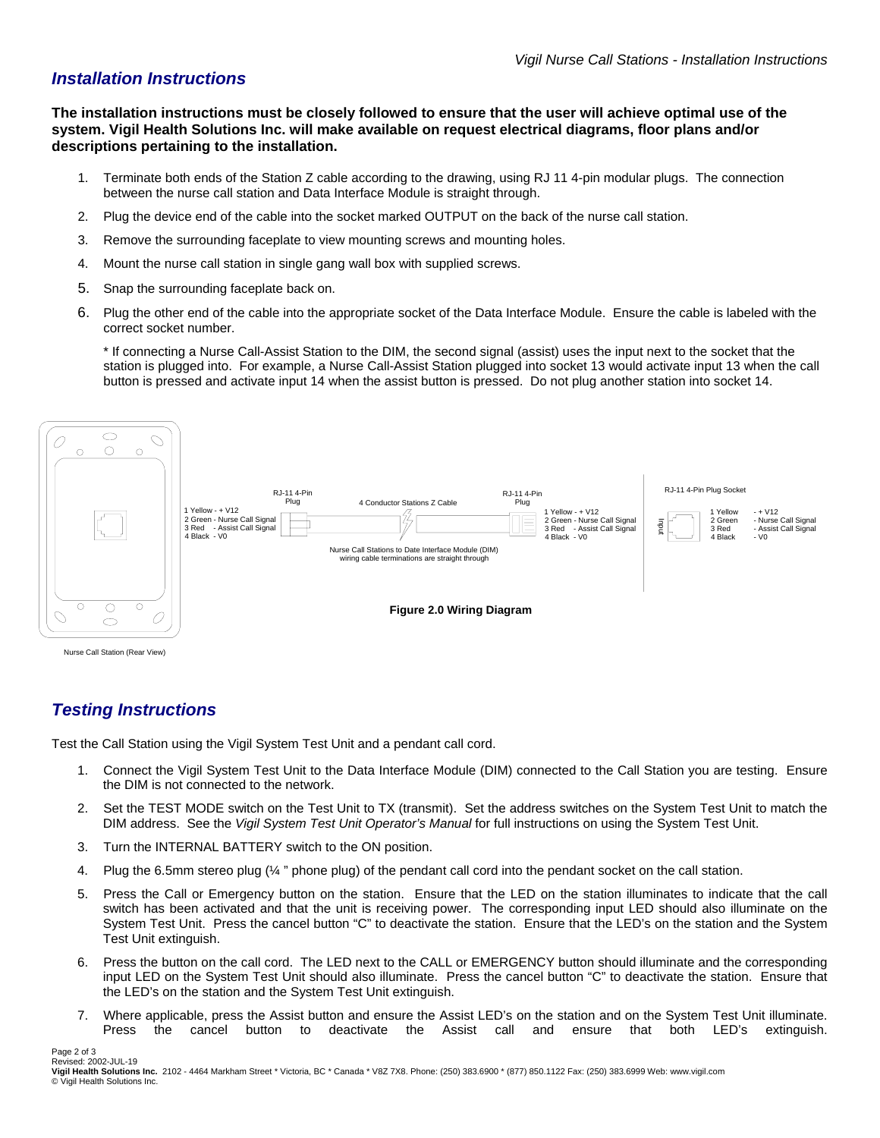## *Installation Instructions*

**The installation instructions must be closely followed to ensure that the user will achieve optimal use of the system. Vigil Health Solutions Inc. will make available on request electrical diagrams, floor plans and/or descriptions pertaining to the installation.** 

- 1. Terminate both ends of the Station Z cable according to the drawing, using RJ 11 4-pin modular plugs. The connection between the nurse call station and Data Interface Module is straight through.
- 2. Plug the device end of the cable into the socket marked OUTPUT on the back of the nurse call station.
- 3. Remove the surrounding faceplate to view mounting screws and mounting holes.
- 4. Mount the nurse call station in single gang wall box with supplied screws.
- 5. Snap the surrounding faceplate back on.
- 6. Plug the other end of the cable into the appropriate socket of the Data Interface Module. Ensure the cable is labeled with the correct socket number.

\* If connecting a Nurse Call-Assist Station to the DIM, the second signal (assist) uses the input next to the socket that the station is plugged into. For example, a Nurse Call-Assist Station plugged into socket 13 would activate input 13 when the call button is pressed and activate input 14 when the assist button is pressed. Do not plug another station into socket 14.



## *Testing Instructions*

Page 2 of 3

Test the Call Station using the Vigil System Test Unit and a pendant call cord.

- 1. Connect the Vigil System Test Unit to the Data Interface Module (DIM) connected to the Call Station you are testing. Ensure the DIM is not connected to the network.
- 2. Set the TEST MODE switch on the Test Unit to TX (transmit). Set the address switches on the System Test Unit to match the DIM address. See the *Vigil System Test Unit Operator's Manual* for full instructions on using the System Test Unit.
- 3. Turn the INTERNAL BATTERY switch to the ON position.
- 4. Plug the 6.5mm stereo plug (¼ " phone plug) of the pendant call cord into the pendant socket on the call station.
- 5. Press the Call or Emergency button on the station. Ensure that the LED on the station illuminates to indicate that the call switch has been activated and that the unit is receiving power. The corresponding input LED should also illuminate on the System Test Unit. Press the cancel button "C" to deactivate the station. Ensure that the LED's on the station and the System Test Unit extinguish.
- 6. Press the button on the call cord. The LED next to the CALL or EMERGENCY button should illuminate and the corresponding input LED on the System Test Unit should also illuminate. Press the cancel button "C" to deactivate the station. Ensure that the LED's on the station and the System Test Unit extinguish.
- 7. Where applicable, press the Assist button and ensure the Assist LED's on the station and on the System Test Unit illuminate. Press the cancel button to deactivate the Assist call and ensure that both LED's extinguish.